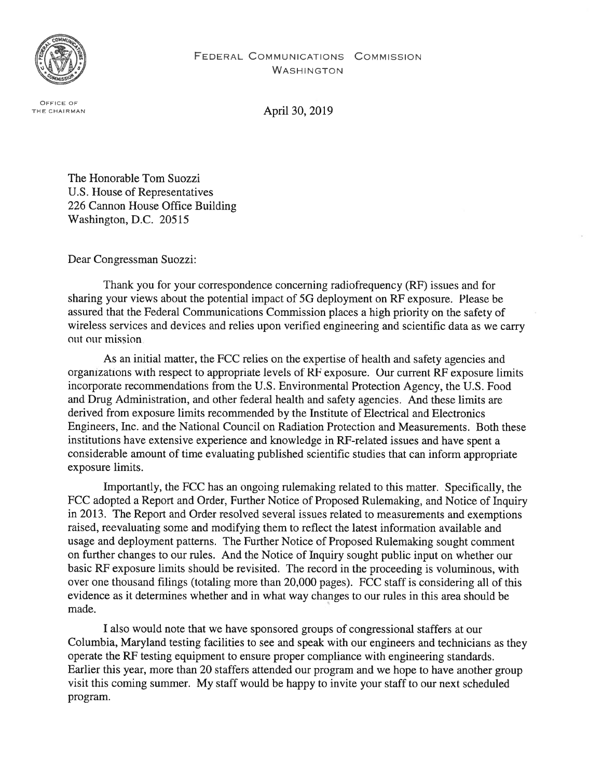

OFFICE OF

THE CHAIRMAN **April 30, 2019** 

The Honorable Tom Suozzi U.S. House of Representatives 226 Cannon House Office Building Washington, D.C. 20515

Dear Congressman Suozzi:

Thank you for your correspondence concerning radiofrequency (RF) issues and for sharing your views about the potential impact of 5G deployment on RF exposure. Please be assured that the Federal Communications Commission places a high priority on the safety of wireless services and devices and relies upon verified engineering and scientific data as we carry out our mission

As an initial matter, the FCC relies on the expertise of health and safety agencies and organizations with respect to appropriate levels of RF exposure. Our current RF exposure limits incorporate recommendations from the U.S. Environmental Protection Agency, the U.S. Food and Drug Administration, and other federal health and safety agencies. And these limits are derived from exposure limits recommended by the Institute of Electrical and Electronics Engineers, Inc. and the National Council on Radiation Protection and Measurements. Both these institutions have extensive experience and knowledge in RF-related issues and have spent a considerable amount of time evaluating published scientific studies that can inform appropriate exposure limits.

Importantly, the FCC has an ongoing rulemaking related to this matter. Specifically, the FCC adopted a Report and Order, Further Notice of Proposed Rulemaking, and Notice of Inquiry in 2013. The Report and Order resolved several issues related to measurements and exemptions raised, reevaluating some and modifying them to reflect the latest information available and usage and deployment patterns. The Further Notice of Proposed Rulemaking sought comment on further changes to our rules. And the Notice of Inquiry sought public input on whether our basic RF exposure limits should be revisited. The record in the proceeding is voluminous, with over one thousand filings (totaling more than 20,000 pages). FCC staff is considering all of this evidence as it determines whether and in what way changes to our rules in this area should be made.

I also would note that we have sponsored groups of congressional staffers at our Columbia, Maryland testing facilities to see and speak with our engineers and technicians as they operate the RF testing equipment to ensure proper compliance with engineering standards. Earlier this year, more than 20 staffers attended our program and we hope to have another group visit this coming summer. My staff would be happy to invite your staff to our next scheduled program.